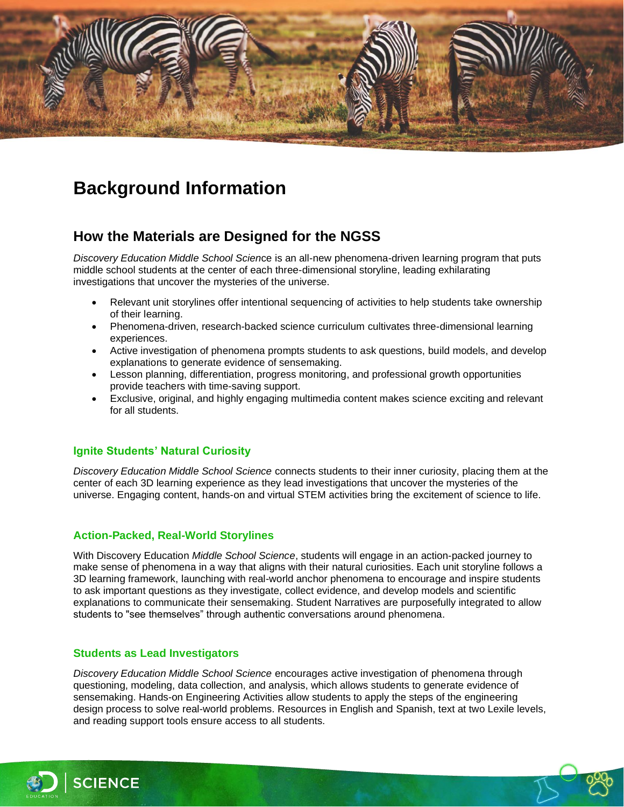

# **Background Information**

# **How the Materials are Designed for the NGSS**

*Discovery Education Middle School Scien*ce is an all-new phenomena-driven learning program that puts middle school students at the center of each three-dimensional storyline, leading exhilarating investigations that uncover the mysteries of the universe.

- Relevant unit storylines offer intentional sequencing of activities to help students take ownership of their learning.
- Phenomena-driven, research-backed science curriculum cultivates three-dimensional learning experiences.
- Active investigation of phenomena prompts students to ask questions, build models, and develop explanations to generate evidence of sensemaking.
- Lesson planning, differentiation, progress monitoring, and professional growth opportunities provide teachers with time-saving support.
- Exclusive, original, and highly engaging multimedia content makes science exciting and relevant for all students.

### **Ignite Students' Natural Curiosity**

*Discovery Education Middle School Science* connects students to their inner curiosity, placing them at the center of each 3D learning experience as they lead investigations that uncover the mysteries of the universe. Engaging content, hands-on and virtual STEM activities bring the excitement of science to life.

#### **Action-Packed, Real-World Storylines**

With Discovery Education *Middle School Science*, students will engage in an action-packed journey to make sense of phenomena in a way that aligns with their natural curiosities. Each unit storyline follows a 3D learning framework, launching with real-world anchor phenomena to encourage and inspire students to ask important questions as they investigate, collect evidence, and develop models and scientific explanations to communicate their sensemaking. Student Narratives are purposefully integrated to allow students to "see themselves" through authentic conversations around phenomena.

#### **Students as Lead Investigators**

*Discovery Education Middle School Science* encourages active investigation of phenomena through questioning, modeling, data collection, and analysis, which allows students to generate evidence of sensemaking. Hands-on Engineering Activities allow students to apply the steps of the engineering design process to solve real-world problems. Resources in English and Spanish, text at two Lexile levels, and reading support tools ensure access to all students.



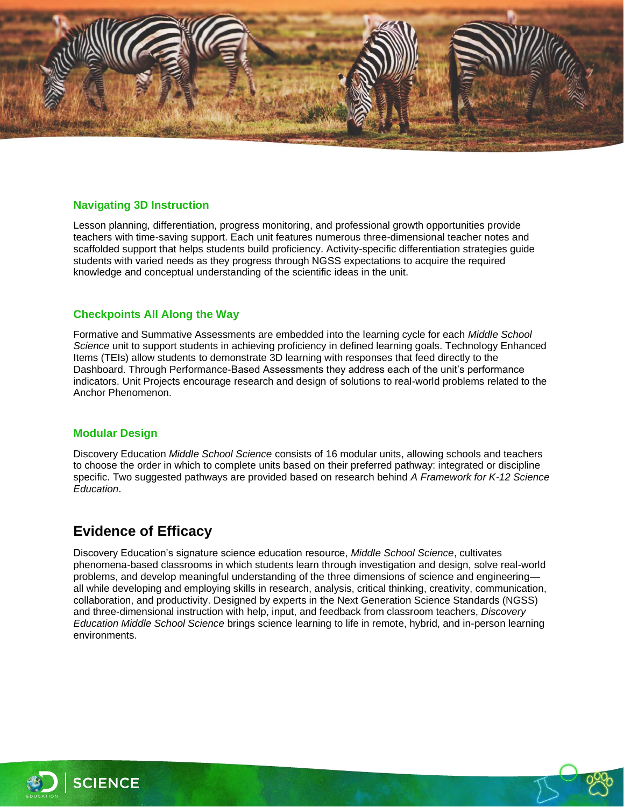

### **Navigating 3D Instruction**

Lesson planning, differentiation, progress monitoring, and professional growth opportunities provide teachers with time-saving support. Each unit features numerous three-dimensional teacher notes and scaffolded support that helps students build proficiency. Activity-specific differentiation strategies guide students with varied needs as they progress through NGSS expectations to acquire the required knowledge and conceptual understanding of the scientific ideas in the unit.

#### **Checkpoints All Along the Way**

Formative and Summative Assessments are embedded into the learning cycle for each *Middle School Science* unit to support students in achieving proficiency in defined learning goals. Technology Enhanced Items (TEIs) allow students to demonstrate 3D learning with responses that feed directly to the Dashboard. Through Performance-Based Assessments they address each of the unit's performance indicators. Unit Projects encourage research and design of solutions to real-world problems related to the Anchor Phenomenon.

#### **Modular Design**

Discovery Education *Middle School Science* consists of 16 modular units, allowing schools and teachers to choose the order in which to complete units based on their preferred pathway: integrated or discipline specific. Two suggested pathways are provided based on research behind *A Framework for K-12 Science Education*.

# **Evidence of Efficacy**

Discovery Education's signature science education resource, *Middle School Science*, cultivates phenomena-based classrooms in which students learn through investigation and design, solve real-world problems, and develop meaningful understanding of the three dimensions of science and engineering all while developing and employing skills in research, analysis, critical thinking, creativity, communication, collaboration, and productivity. Designed by experts in the Next Generation Science Standards (NGSS) and three-dimensional instruction with help, input, and feedback from classroom teachers, *Discovery Education Middle School Science* brings science learning to life in remote, hybrid, and in-person learning environments.



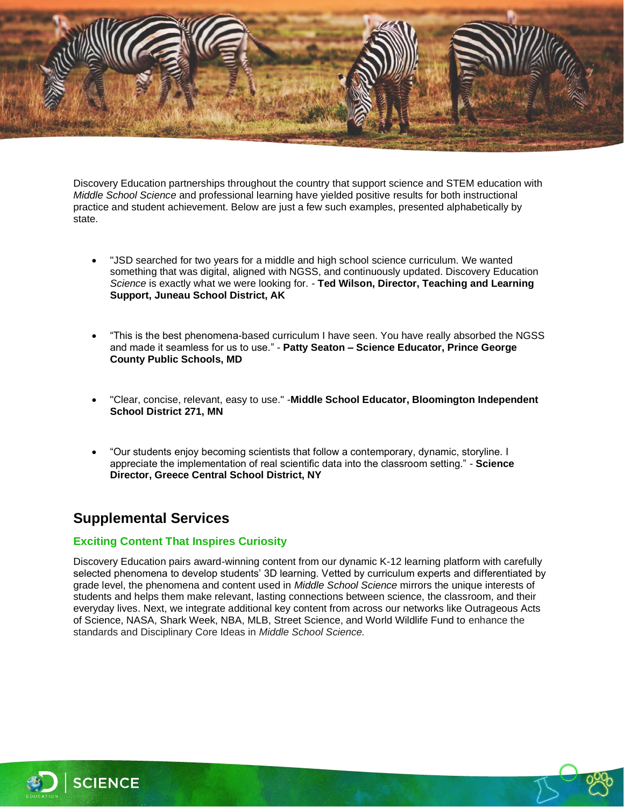

Discovery Education partnerships throughout the country that support science and STEM education with *Middle School Science* and professional learning have yielded positive results for both instructional practice and student achievement. Below are just a few such examples, presented alphabetically by state.

- "JSD searched for two years for a middle and high school science curriculum. We wanted something that was digital, aligned with NGSS, and continuously updated. Discovery Education *Science* is exactly what we were looking for. - **Ted Wilson, Director, Teaching and Learning Support, Juneau School District, AK**
- "This is the best phenomena-based curriculum I have seen. You have really absorbed the NGSS and made it seamless for us to use." - **Patty Seaton – Science Educator, Prince George County Public Schools, MD**
- "Clear, concise, relevant, easy to use." -**Middle School Educator, Bloomington Independent School District 271, MN**
- "Our students enjoy becoming scientists that follow a contemporary, dynamic, storyline. I appreciate the implementation of real scientific data into the classroom setting." - **Science Director, Greece Central School District, NY**

# **Supplemental Services**

### **Exciting Content That Inspires Curiosity**

Discovery Education pairs award-winning content from our dynamic K-12 learning platform with carefully selected phenomena to develop students' 3D learning. Vetted by curriculum experts and differentiated by grade level, the phenomena and content used in *Middle School Science* mirrors the unique interests of students and helps them make relevant, lasting connections between science, the classroom, and their everyday lives. Next, we integrate additional key content from across our networks like Outrageous Acts of Science, NASA, Shark Week, NBA, MLB, Street Science, and World Wildlife Fund to enhance the standards and Disciplinary Core Ideas in *Middle School Science.*